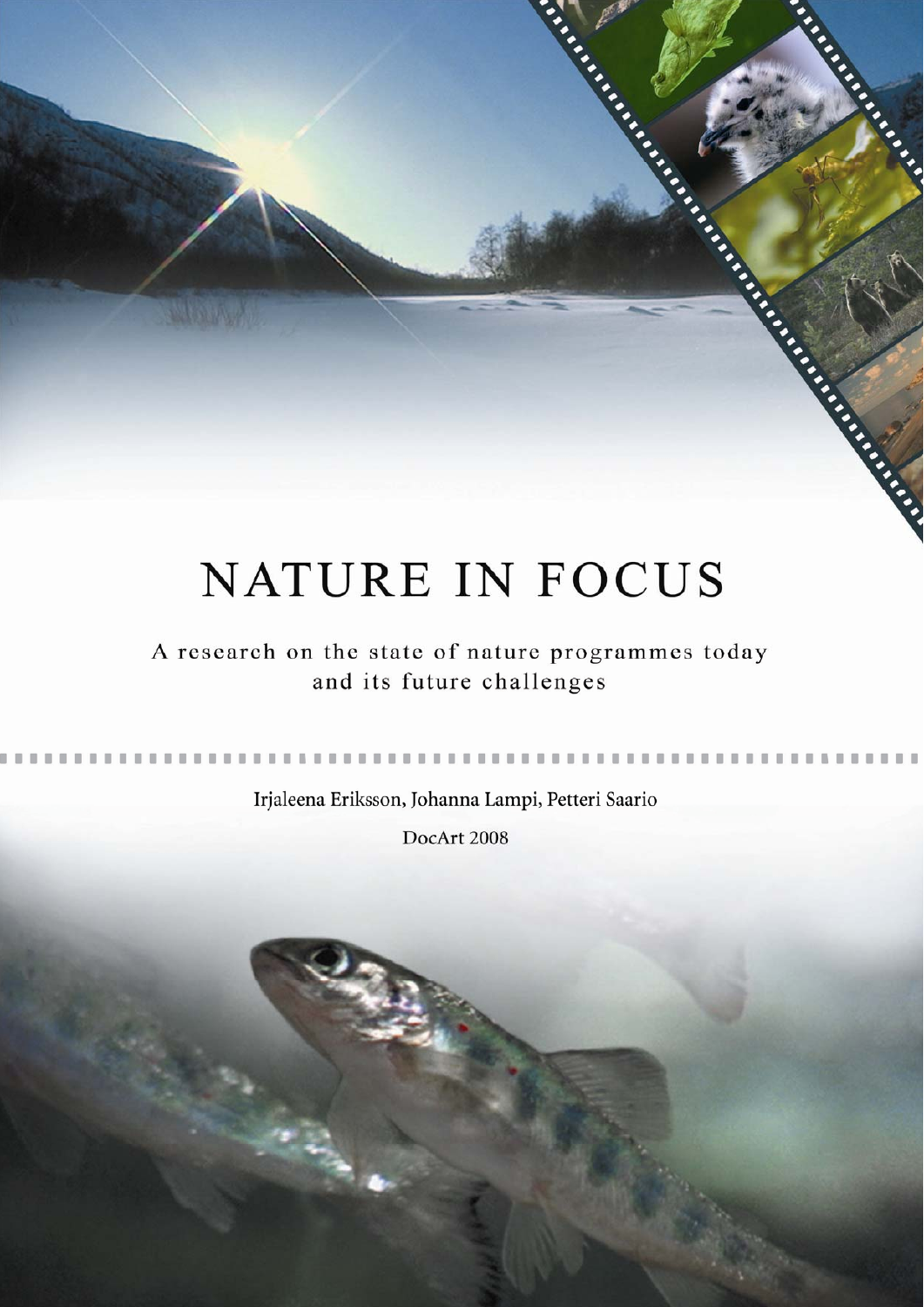# **NATURE IN FOCUS**

**Change Riverside Contractory** 

in the

**Castle River** 

**CASE** 

A research on the state of nature programmes today and its future challenges

Irjaleena Eriksson, Johanna Lampi, Petteri Saario

**COLOR** 

DocArt 2008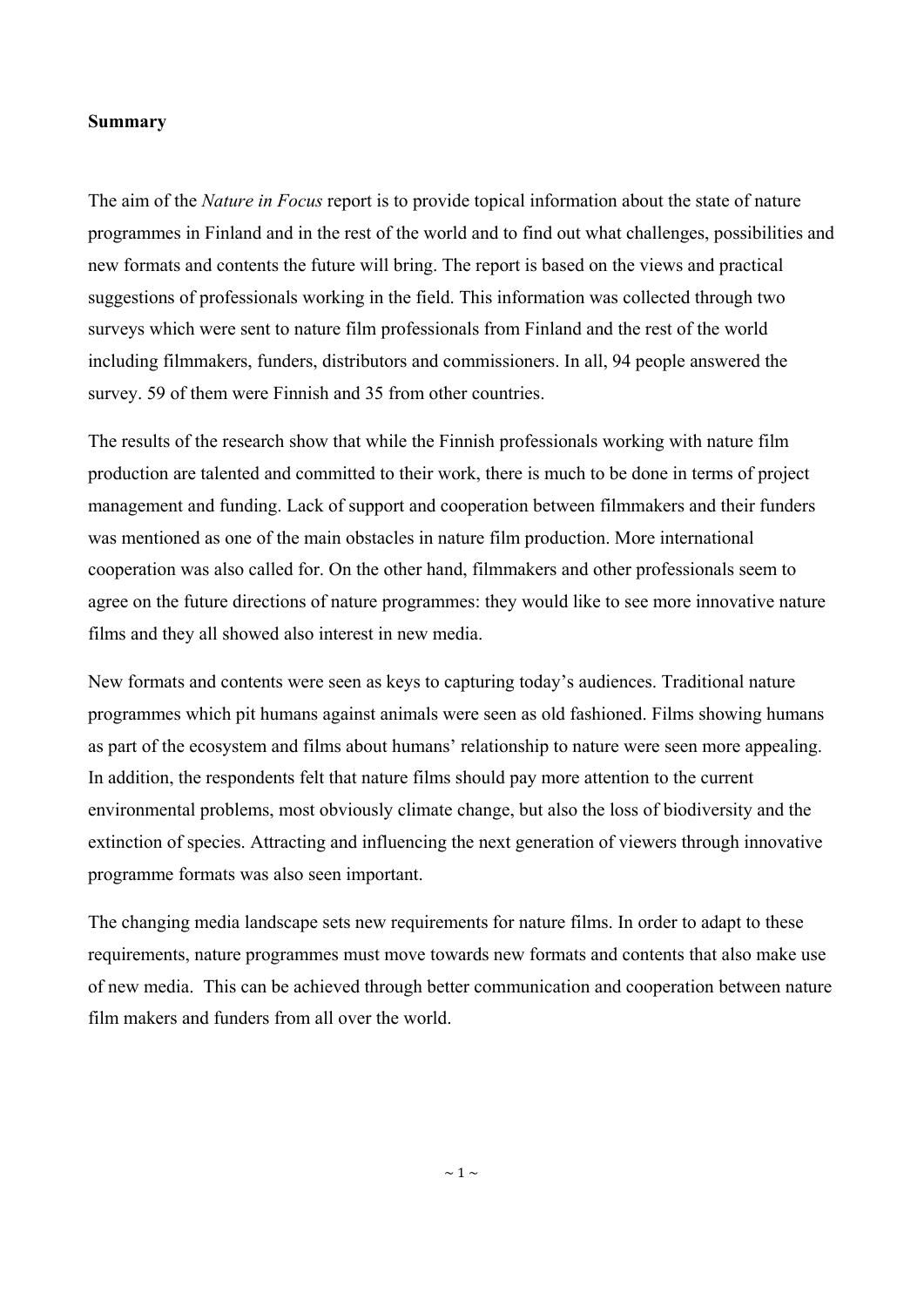#### **Summary**

The aim of the *Nature in Focus* report is to provide topical information about the state of nature programmes in Finland and in the rest of the world and to find out what challenges, possibilities and new formats and contents the future will bring. The report is based on the views and practical suggestions of professionals working in the field. This information was collected through two surveys which were sent to nature film professionals from Finland and the rest of the world including filmmakers, funders, distributors and commissioners. In all, 94 people answered the survey. 59 of them were Finnish and 35 from other countries.

The results of the research show that while the Finnish professionals working with nature film production are talented and committed to their work, there is much to be done in terms of project management and funding. Lack of support and cooperation between filmmakers and their funders was mentioned as one of the main obstacles in nature film production. More international cooperation was also called for. On the other hand, filmmakers and other professionals seem to agree on the future directions of nature programmes: they would like to see more innovative nature films and they all showed also interest in new media.

New formats and contents were seen as keys to capturing today's audiences. Traditional nature programmes which pit humans against animals were seen as old fashioned. Films showing humans as part of the ecosystem and films about humans' relationship to nature were seen more appealing. In addition, the respondents felt that nature films should pay more attention to the current environmental problems, most obviously climate change, but also the loss of biodiversity and the extinction of species. Attracting and influencing the next generation of viewers through innovative programme formats was also seen important.

The changing media landscape sets new requirements for nature films. In order to adapt to these requirements, nature programmes must move towards new formats and contents that also make use of new media. This can be achieved through better communication and cooperation between nature film makers and funders from all over the world.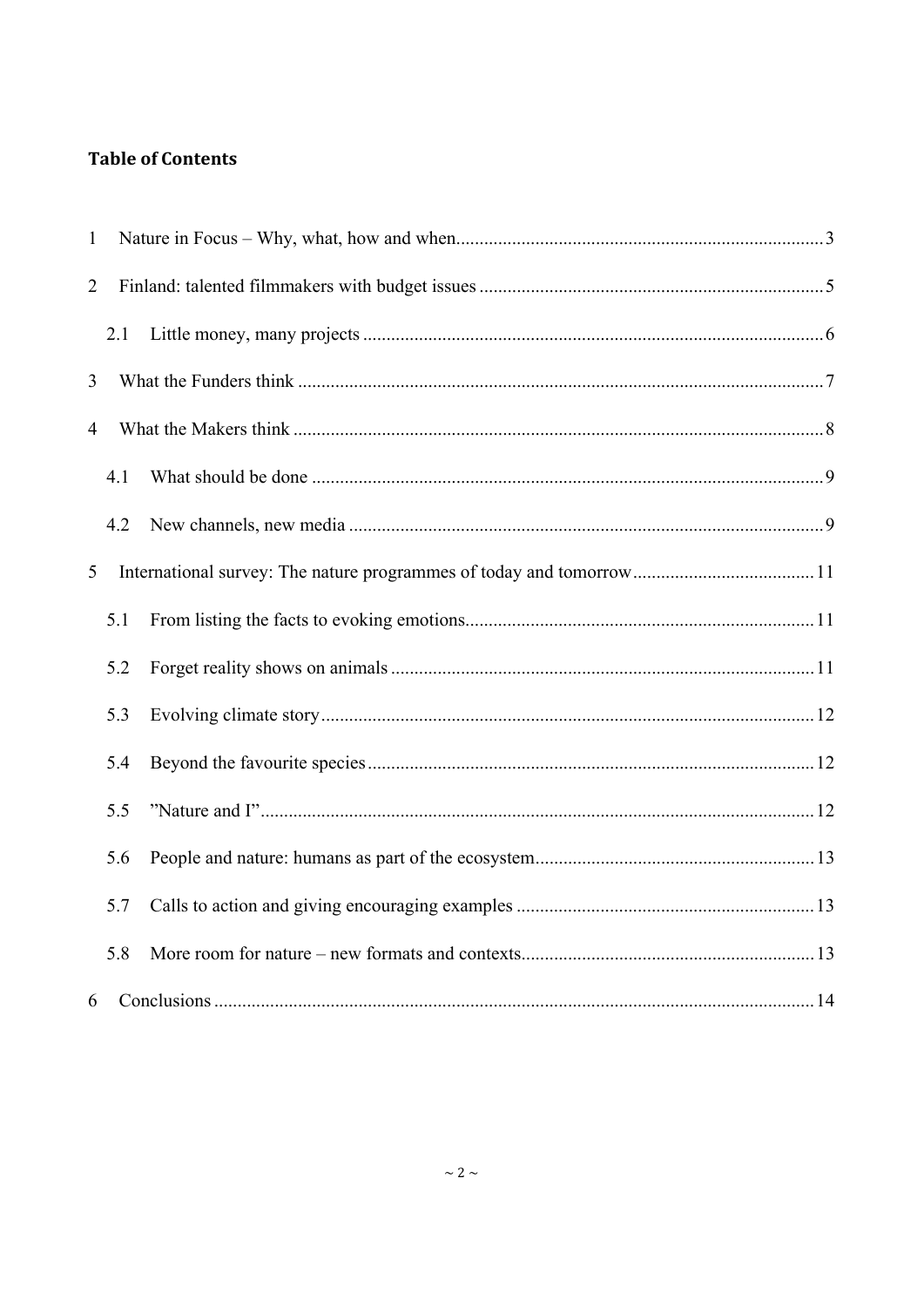# **Table of Contents**

| $\mathbf{1}$   |     |  |  |
|----------------|-----|--|--|
| $\overline{2}$ |     |  |  |
|                | 2.1 |  |  |
| $\overline{3}$ |     |  |  |
| 4              |     |  |  |
|                | 4.1 |  |  |
|                | 4.2 |  |  |
| 5              |     |  |  |
|                | 5.1 |  |  |
|                | 5.2 |  |  |
|                | 5.3 |  |  |
|                | 5.4 |  |  |
|                | 5.5 |  |  |
|                | 5.6 |  |  |
|                | 5.7 |  |  |
|                | 5.8 |  |  |
| 6              |     |  |  |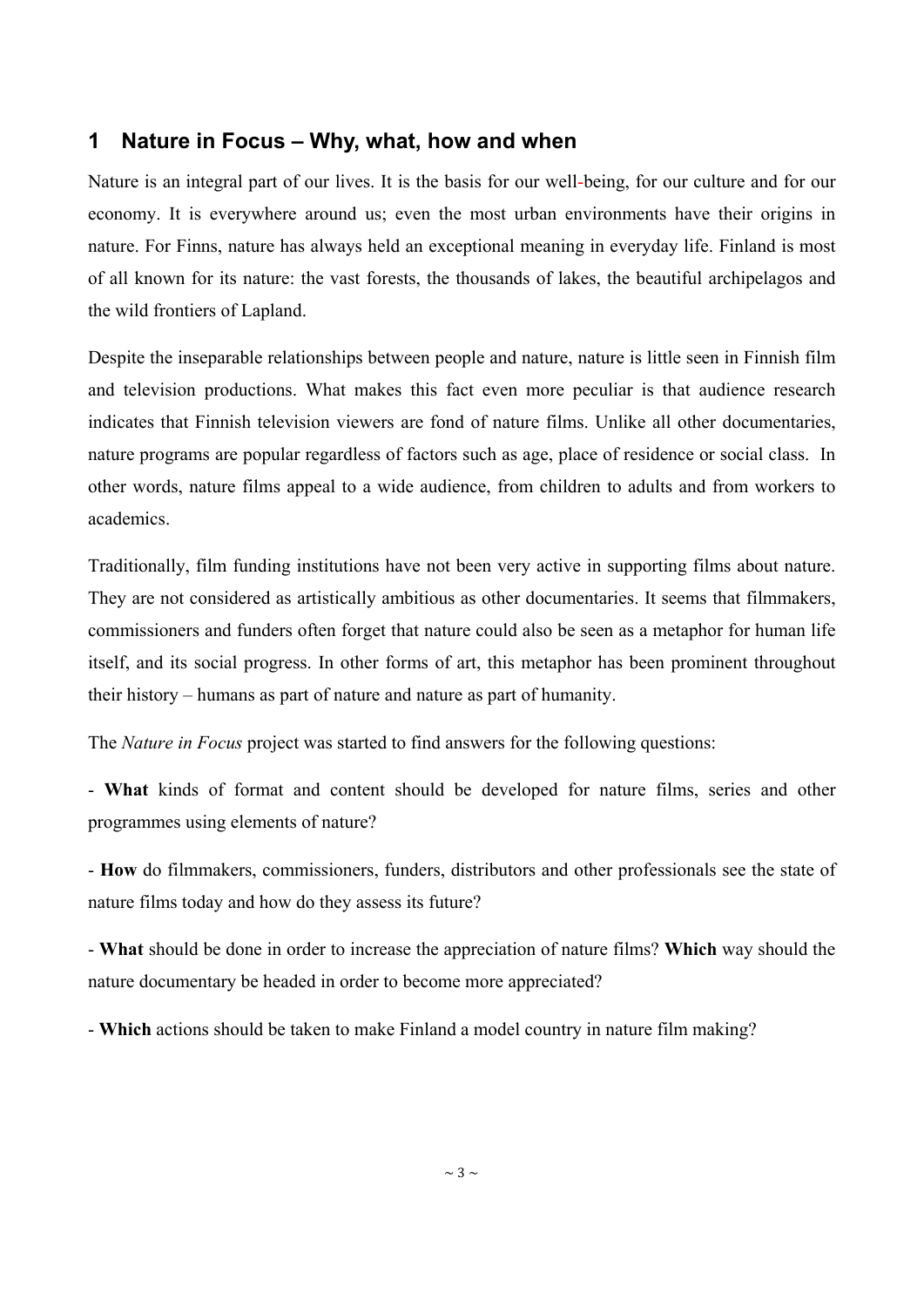# <span id="page-3-0"></span>**1 Nature in Focus – Why, what, how and when**

Nature is an integral part of our lives. It is the basis for our well-being, for our culture and for our economy. It is everywhere around us; even the most urban environments have their origins in nature. For Finns, nature has always held an exceptional meaning in everyday life. Finland is most of all known for its nature: the vast forests, the thousands of lakes, the beautiful archipelagos and the wild frontiers of Lapland.

Despite the inseparable relationships between people and nature, nature is little seen in Finnish film and television productions. What makes this fact even more peculiar is that audience research indicates that Finnish television viewers are fond of nature films. Unlike all other documentaries, nature programs are popular regardless of factors such as age, place of residence or social class. In other words, nature films appeal to a wide audience, from children to adults and from workers to academics.

Traditionally, film funding institutions have not been very active in supporting films about nature. They are not considered as artistically ambitious as other documentaries. It seems that filmmakers, commissioners and funders often forget that nature could also be seen as a metaphor for human life itself, and its social progress. In other forms of art, this metaphor has been prominent throughout their history – humans as part of nature and nature as part of humanity.

The *Nature in Focus* project was started to find answers for the following questions:

- **What** kinds of format and content should be developed for nature films, series and other programmes using elements of nature?

- **How** do filmmakers, commissioners, funders, distributors and other professionals see the state of nature films today and how do they assess its future?

- **What** should be done in order to increase the appreciation of nature films? **Which** way should the nature documentary be headed in order to become more appreciated?

- **Which** actions should be taken to make Finland a model country in nature film making?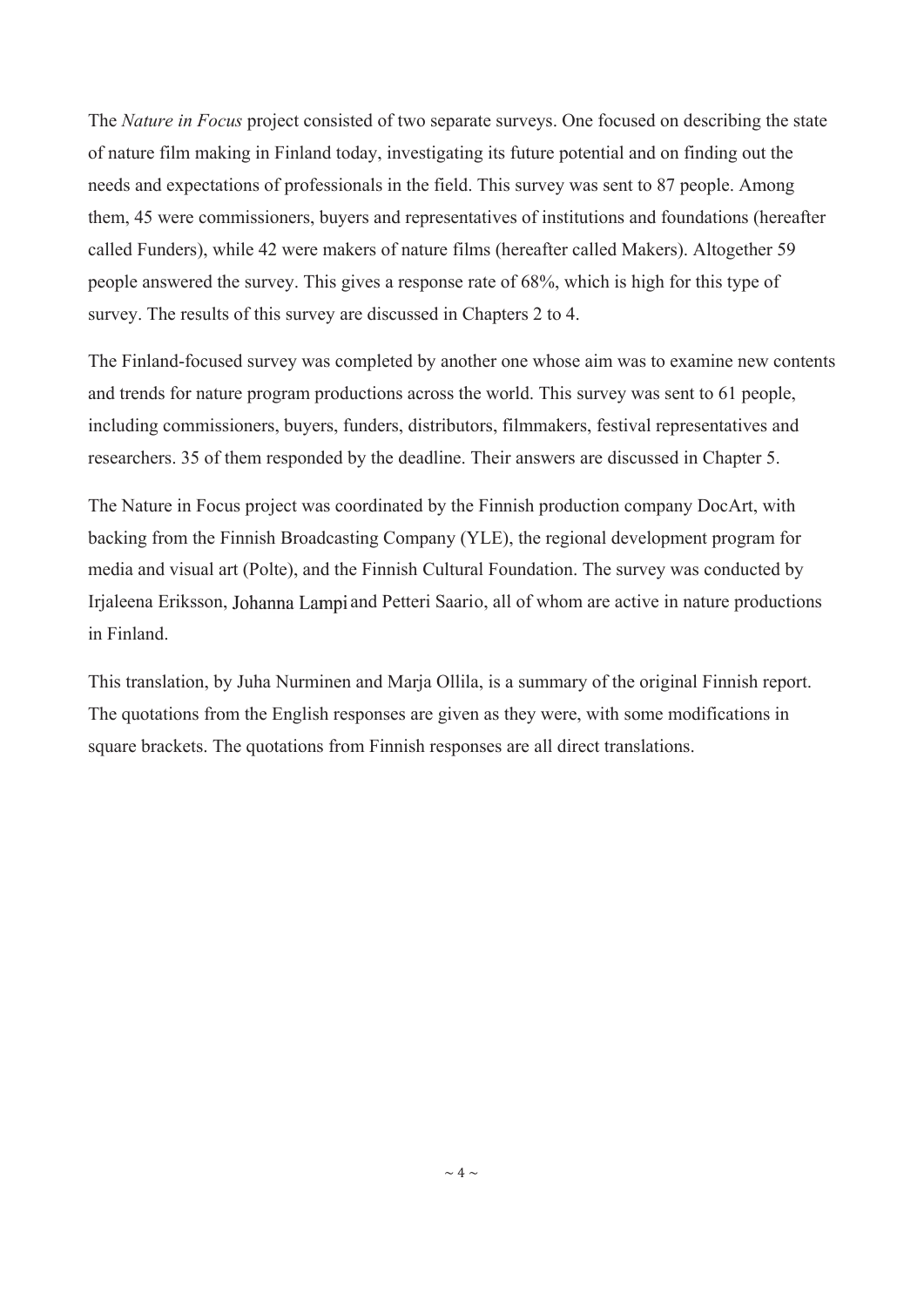The *Nature in Focus* project consisted of two separate surveys. One focused on describing the state of nature film making in Finland today, investigating its future potential and on finding out the needs and expectations of professionals in the field. This survey was sent to 87 people. Among them, 45 were commissioners, buyers and representatives of institutions and foundations (hereafter called Funders), while 42 were makers of nature films (hereafter called Makers). Altogether 59 people answered the survey. This gives a response rate of 68%, which is high for this type of survey. The results of this survey are discussed in Chapters 2 to 4.

The Finland-focused survey was completed by another one whose aim was to examine new contents and trends for nature program productions across the world. This survey was sent to 61 people, including commissioners, buyers, funders, distributors, filmmakers, festival representatives and researchers. 35 of them responded by the deadline. Their answers are discussed in Chapter 5.

The Nature in Focus project was coordinated by the Finnish production company DocArt, with backing from the Finnish Broadcasting Company (YLE), the regional development program for media and visual art (Polte), and the Finnish Cultural Foundation. The survey was conducted by Irjaleena Eriksson, Johanna Lampi and Petteri Saario, all of whom are active in nature productions in Finland.

This translation, by Juha Nurminen and Marja Ollila, is a summary of the original Finnish report. The quotations from the English responses are given as they were, with some modifications in square brackets. The quotations from Finnish responses are all direct translations.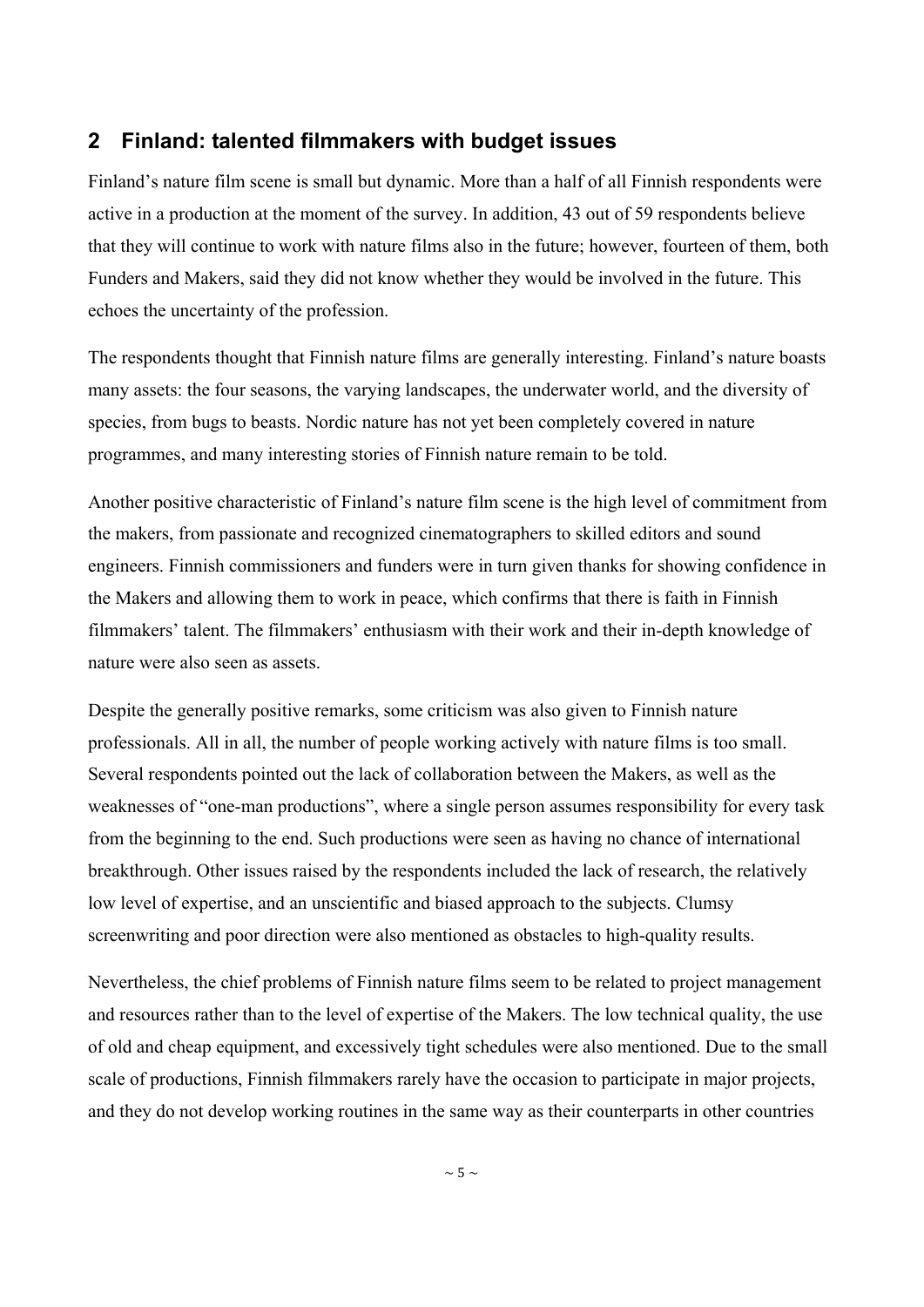## **2 Finland: talented filmmakers with budget issues**

Finland's nature film scene is small but dynamic. More than a half of all Finnish respondents were active in a production at the moment of the survey. In addition, 43 out of 59 respondents believe that they will continue to work with nature films also in the future; however, fourteen of them, both Funders and Makers, said they did not know whether they would be involved in the future. This echoes the uncertainty of the profession.

The respondents thought that Finnish nature films are generally interesting. Finland's nature boasts many assets: the four seasons, the varying landscapes, the underwater world, and the diversity of species, from bugs to beasts. Nordic nature has not yet been completely covered in nature programmes, and many interesting stories of Finnish nature remain to be told.

Another positive characteristic of Finland's nature film scene is the high level of commitment from the makers, from passionate and recognized cinematographers to skilled editors and sound engineers. Finnish commissioners and funders were in turn given thanks for showing confidence in the Makers and allowing them to work in peace, which confirms that there is faith in Finnish filmmakers' talent. The filmmakers' enthusiasm with their work and their in-depth knowledge of nature were also seen as assets.

Despite the generally positive remarks, some criticism was also given to Finnish nature professionals. All in all, the number of people working actively with nature films is too small. Several respondents pointed out the lack of collaboration between the Makers, as well as the weaknesses of "one-man productions", where a single person assumes responsibility for every task from the beginning to the end. Such productions were seen as having no chance of international breakthrough. Other issues raised by the respondents included the lack of research, the relatively low level of expertise, and an unscientific and biased approach to the subjects. Clumsy screenwriting and poor direction were also mentioned as obstacles to high-quality results.

Nevertheless, the chief problems of Finnish nature films seem to be related to project management and resources rather than to the level of expertise of the Makers. The low technical quality, the use of old and cheap equipment, and excessively tight schedules were also mentioned. Due to the small scale of productions, Finnish filmmakers rarely have the occasion to participate in major projects, and they do not develop working routines in the same way as their counterparts in other countries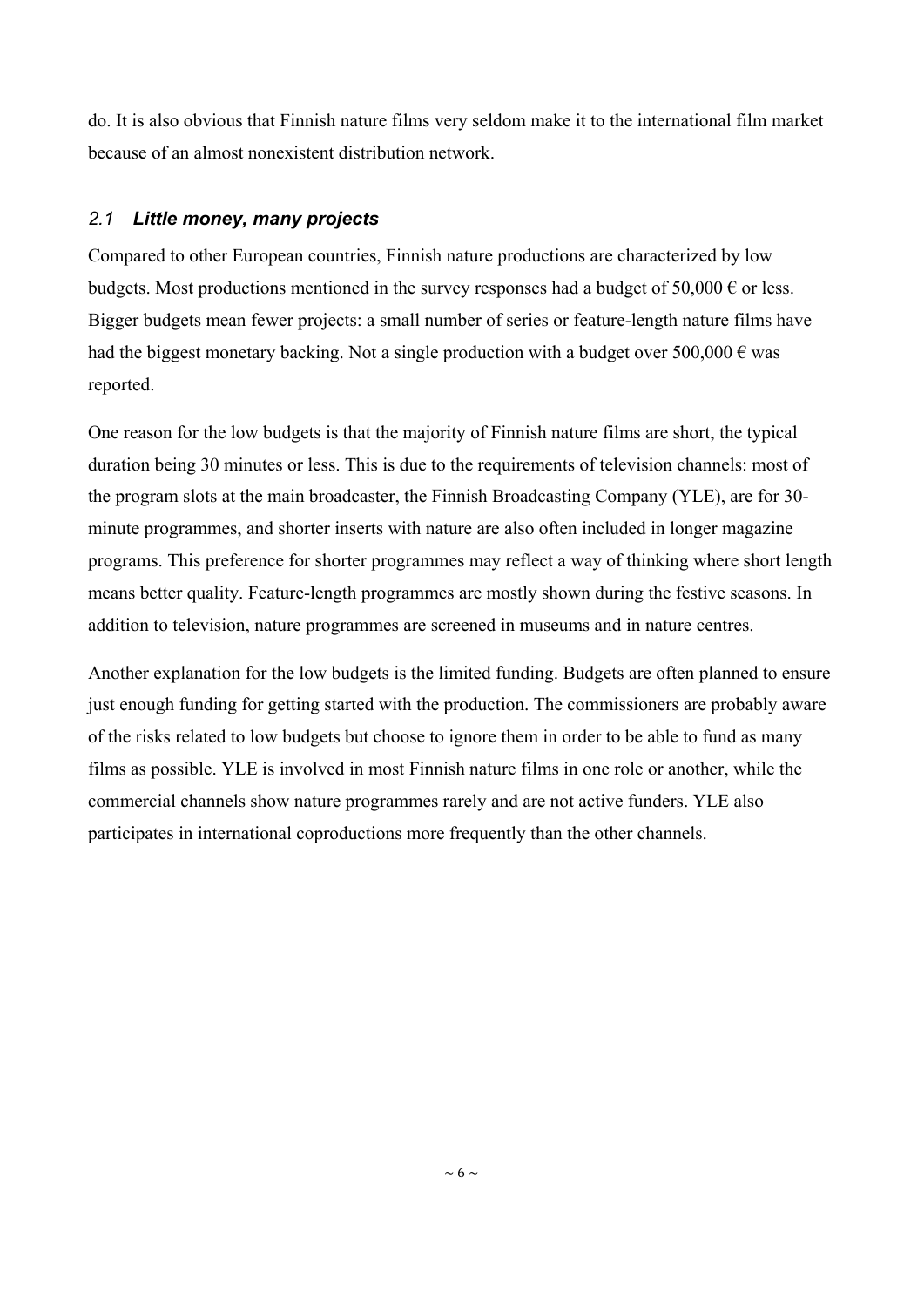do. It is also obvious that Finnish nature films very seldom make it to the international film market because of an almost nonexistent distribution network.

## *2.1 Little money, many projects*

Compared to other European countries, Finnish nature productions are characterized by low budgets. Most productions mentioned in the survey responses had a budget of 50,000  $\epsilon$  or less. Bigger budgets mean fewer projects: a small number of series or feature-length nature films have had the biggest monetary backing. Not a single production with a budget over 500,000  $\epsilon$  was reported.

One reason for the low budgets is that the majority of Finnish nature films are short, the typical duration being 30 minutes or less. This is due to the requirements of television channels: most of the program slots at the main broadcaster, the Finnish Broadcasting Company (YLE), are for 30 minute programmes, and shorter inserts with nature are also often included in longer magazine programs. This preference for shorter programmes may reflect a way of thinking where short length means better quality. Feature-length programmes are mostly shown during the festive seasons. In addition to television, nature programmes are screened in museums and in nature centres.

Another explanation for the low budgets is the limited funding. Budgets are often planned to ensure just enough funding for getting started with the production. The commissioners are probably aware of the risks related to low budgets but choose to ignore them in order to be able to fund as many films as possible. YLE is involved in most Finnish nature films in one role or another, while the commercial channels show nature programmes rarely and are not active funders. YLE also participates in international coproductions more frequently than the other channels.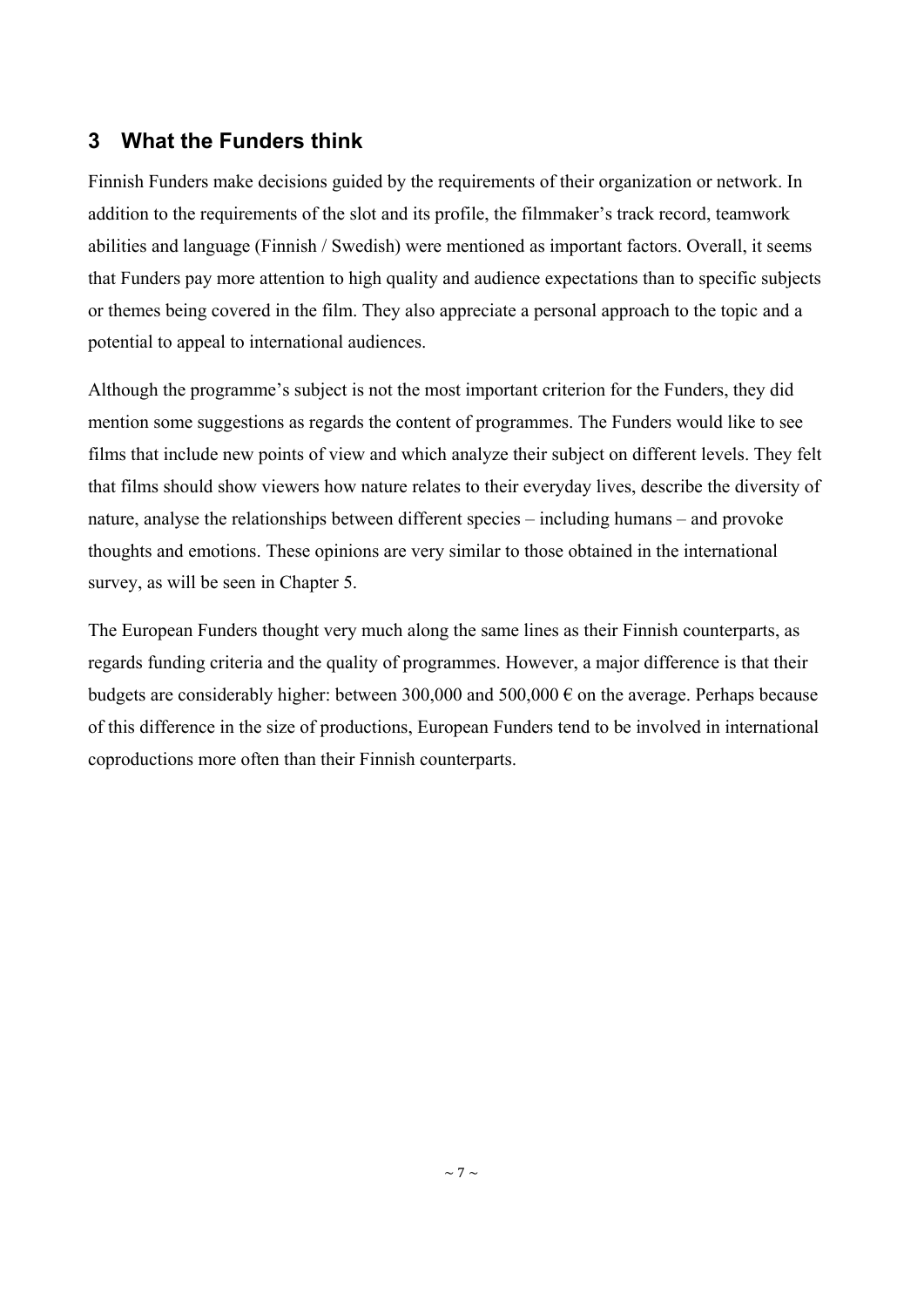# **3 What the Funders think**

Finnish Funders make decisions guided by the requirements of their organization or network. In addition to the requirements of the slot and its profile, the filmmaker's track record, teamwork abilities and language (Finnish / Swedish) were mentioned as important factors. Overall, it seems that Funders pay more attention to high quality and audience expectations than to specific subjects or themes being covered in the film. They also appreciate a personal approach to the topic and a potential to appeal to international audiences.

Although the programme's subject is not the most important criterion for the Funders, they did mention some suggestions as regards the content of programmes. The Funders would like to see films that include new points of view and which analyze their subject on different levels. They felt that films should show viewers how nature relates to their everyday lives, describe the diversity of nature, analyse the relationships between different species – including humans – and provoke thoughts and emotions. These opinions are very similar to those obtained in the international survey, as will be seen in Chapter 5.

The European Funders thought very much along the same lines as their Finnish counterparts, as regards funding criteria and the quality of programmes. However, a major difference is that their budgets are considerably higher: between 300,000 and 500,000  $\epsilon$  on the average. Perhaps because of this difference in the size of productions, European Funders tend to be involved in international coproductions more often than their Finnish counterparts.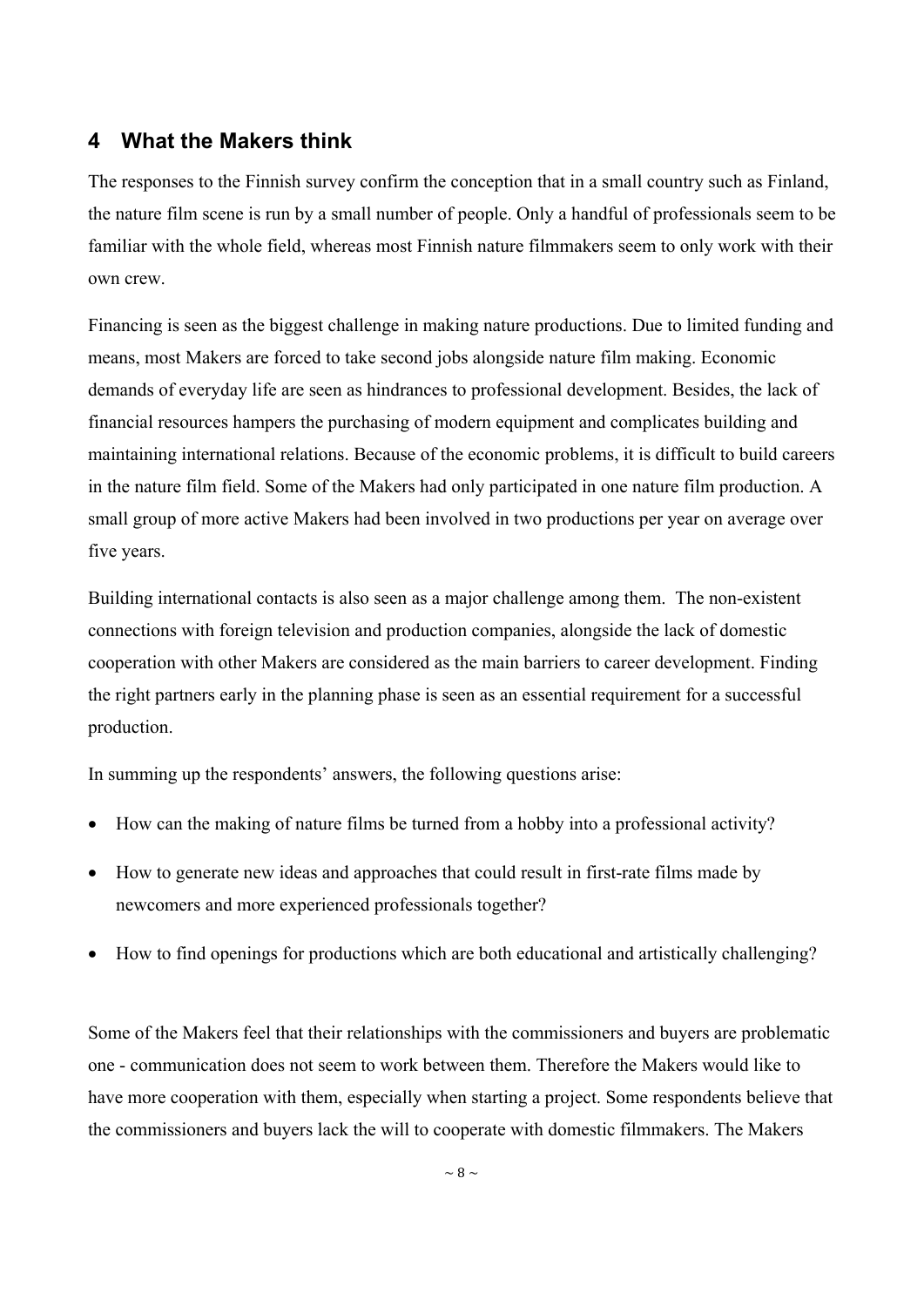## **4 What the Makers think**

The responses to the Finnish survey confirm the conception that in a small country such as Finland, the nature film scene is run by a small number of people. Only a handful of professionals seem to be familiar with the whole field, whereas most Finnish nature filmmakers seem to only work with their own crew.

Financing is seen as the biggest challenge in making nature productions. Due to limited funding and means, most Makers are forced to take second jobs alongside nature film making. Economic demands of everyday life are seen as hindrances to professional development. Besides, the lack of financial resources hampers the purchasing of modern equipment and complicates building and maintaining international relations. Because of the economic problems, it is difficult to build careers in the nature film field. Some of the Makers had only participated in one nature film production. A small group of more active Makers had been involved in two productions per year on average over five years.

Building international contacts is also seen as a major challenge among them. The non-existent connections with foreign television and production companies, alongside the lack of domestic cooperation with other Makers are considered as the main barriers to career development. Finding the right partners early in the planning phase is seen as an essential requirement for a successful production.

In summing up the respondents' answers, the following questions arise:

- $\bullet$  How can the making of nature films be turned from a hobby into a professional activity?
- How to generate new ideas and approaches that could result in first-rate films made by newcomers and more experienced professionals together?
- How to find openings for productions which are both educational and artistically challenging?

Some of the Makers feel that their relationships with the commissioners and buyers are problematic one - communication does not seem to work between them. Therefore the Makers would like to have more cooperation with them, especially when starting a project. Some respondents believe that the commissioners and buyers lack the will to cooperate with domestic filmmakers. The Makers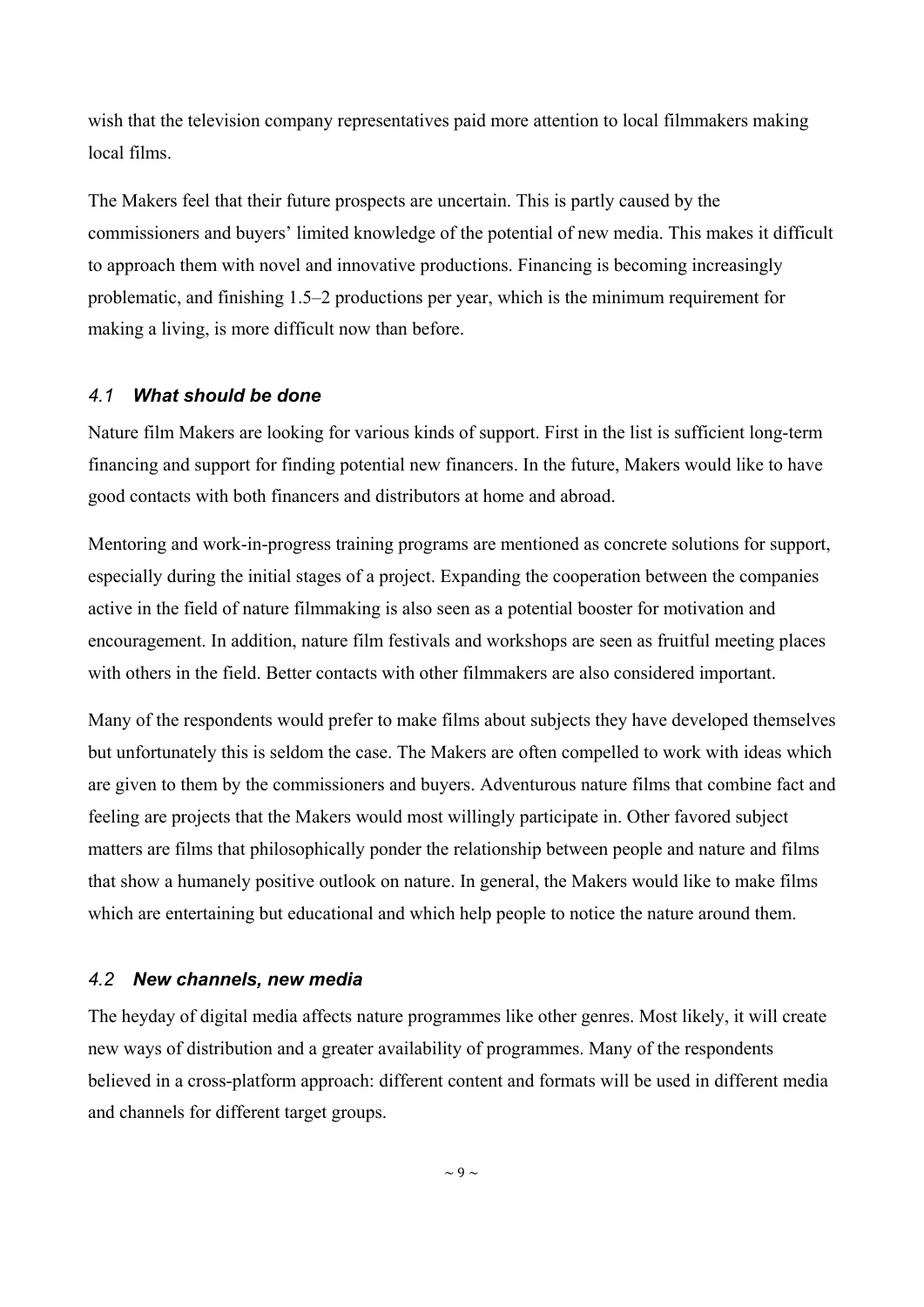wish that the television company representatives paid more attention to local filmmakers making local films.

The Makers feel that their future prospects are uncertain. This is partly caused by the commissioners and buyers' limited knowledge of the potential of new media. This makes it difficult to approach them with novel and innovative productions. Financing is becoming increasingly problematic, and finishing 1.5–2 productions per year, which is the minimum requirement for making a living, is more difficult now than before.

#### *4.1 What should be done*

Nature film Makers are looking for various kinds of support. First in the list is sufficient long-term financing and support for finding potential new financers. In the future, Makers would like to have good contacts with both financers and distributors at home and abroad.

Mentoring and work-in-progress training programs are mentioned as concrete solutions for support, especially during the initial stages of a project. Expanding the cooperation between the companies active in the field of nature filmmaking is also seen as a potential booster for motivation and encouragement. In addition, nature film festivals and workshops are seen as fruitful meeting places with others in the field. Better contacts with other filmmakers are also considered important.

Many of the respondents would prefer to make films about subjects they have developed themselves but unfortunately this is seldom the case. The Makers are often compelled to work with ideas which are given to them by the commissioners and buyers. Adventurous nature films that combine fact and feeling are projects that the Makers would most willingly participate in. Other favored subject matters are films that philosophically ponder the relationship between people and nature and films that show a humanely positive outlook on nature. In general, the Makers would like to make films which are entertaining but educational and which help people to notice the nature around them.

#### *4.2 New channels, new media*

The heyday of digital media affects nature programmes like other genres. Most likely, it will create new ways of distribution and a greater availability of programmes. Many of the respondents believed in a cross-platform approach: different content and formats will be used in different media and channels for different target groups.

 $\sim$  9  $\sim$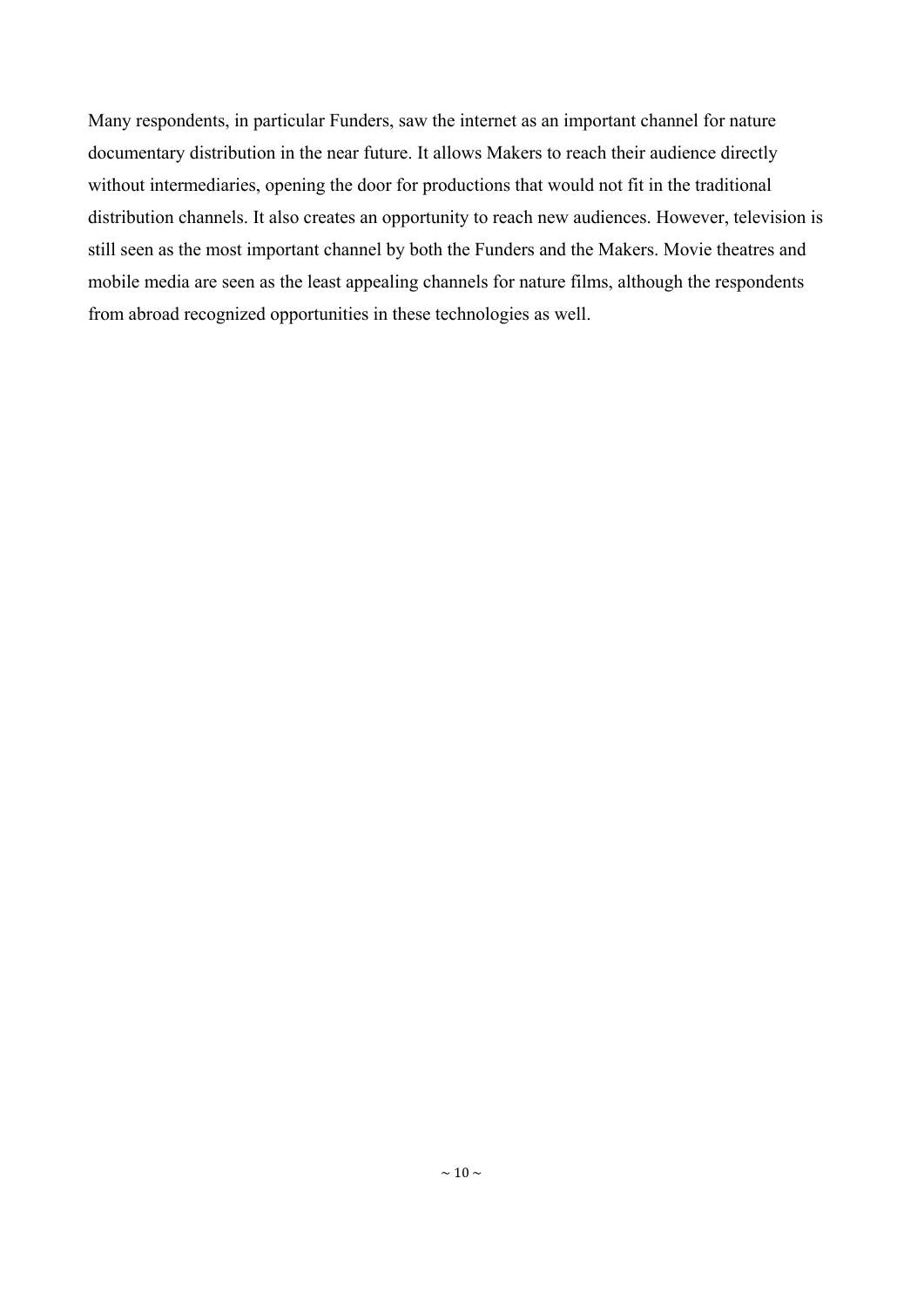Many respondents, in particular Funders, saw the internet as an important channel for nature documentary distribution in the near future. It allows Makers to reach their audience directly without intermediaries, opening the door for productions that would not fit in the traditional distribution channels. It also creates an opportunity to reach new audiences. However, television is still seen as the most important channel by both the Funders and the Makers. Movie theatres and mobile media are seen as the least appealing channels for nature films, although the respondents from abroad recognized opportunities in these technologies as well.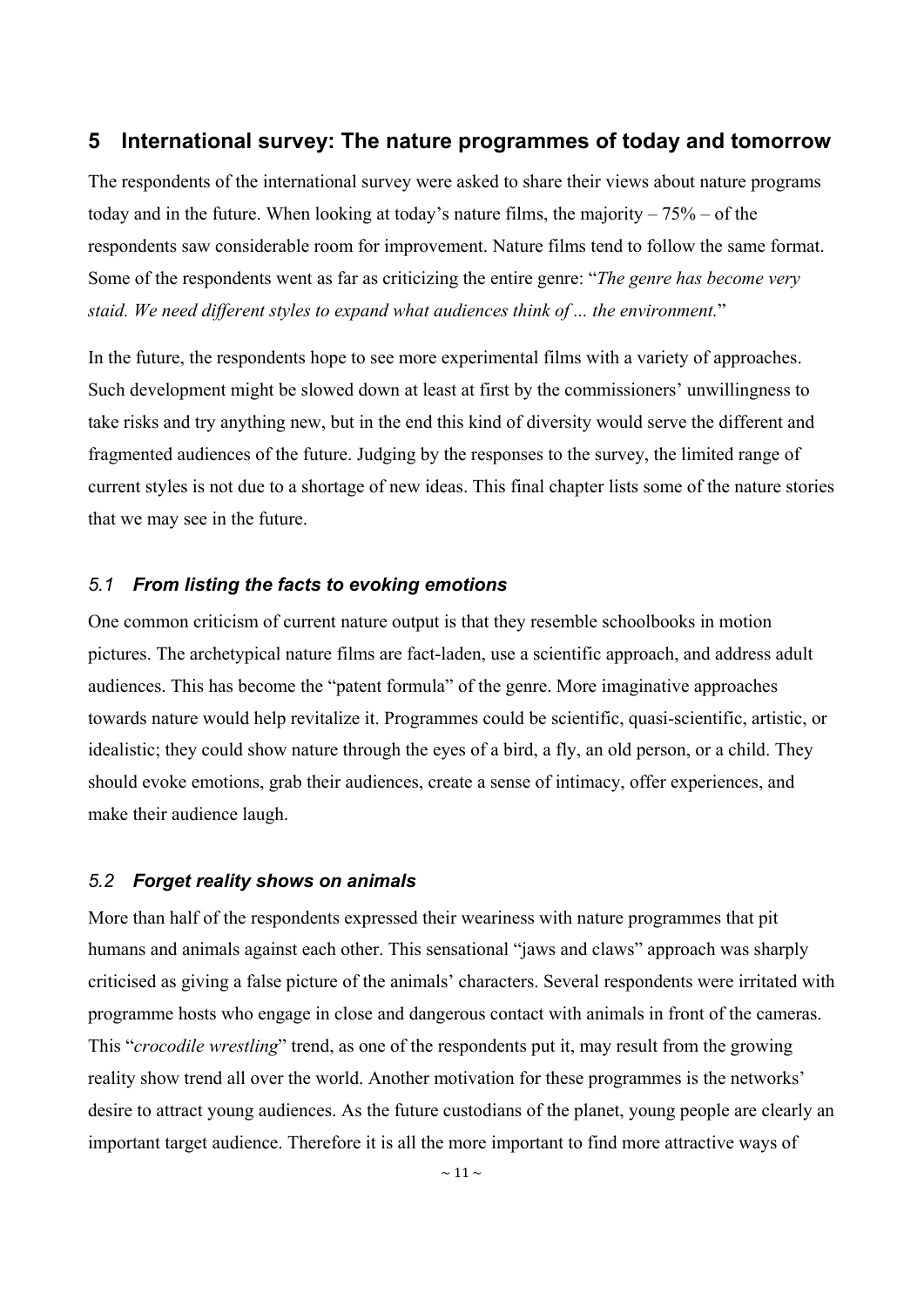## **5 International survey: The nature programmes of today and tomorrow**

The respondents of the international survey were asked to share their views about nature programs today and in the future. When looking at today's nature films, the majority  $-75%$  – of the respondents saw considerable room for improvement. Nature films tend to follow the same format. Some of the respondents went as far as criticizing the entire genre: "*The genre has become very staid. We need different styles to expand what audiences think of ... the environment.*"

In the future, the respondents hope to see more experimental films with a variety of approaches. Such development might be slowed down at least at first by the commissioners' unwillingness to take risks and try anything new, but in the end this kind of diversity would serve the different and fragmented audiences of the future. Judging by the responses to the survey, the limited range of current styles is not due to a shortage of new ideas. This final chapter lists some of the nature stories that we may see in the future.

## *5.1 From listing the facts to evoking emotions*

One common criticism of current nature output is that they resemble schoolbooks in motion pictures. The archetypical nature films are fact-laden, use a scientific approach, and address adult audiences. This has become the "patent formula" of the genre. More imaginative approaches towards nature would help revitalize it. Programmes could be scientific, quasi-scientific, artistic, or idealistic; they could show nature through the eyes of a bird, a fly, an old person, or a child. They should evoke emotions, grab their audiences, create a sense of intimacy, offer experiences, and make their audience laugh.

#### *5.2 Forget reality shows on animals*

More than half of the respondents expressed their weariness with nature programmes that pit humans and animals against each other. This sensational "jaws and claws" approach was sharply criticised as giving a false picture of the animals' characters. Several respondents were irritated with programme hosts who engage in close and dangerous contact with animals in front of the cameras. This "*crocodile wrestling*" trend, as one of the respondents put it, may result from the growing reality show trend all over the world. Another motivation for these programmes is the networks' desire to attract young audiences. As the future custodians of the planet, young people are clearly an important target audience. Therefore it is all the more important to find more attractive ways of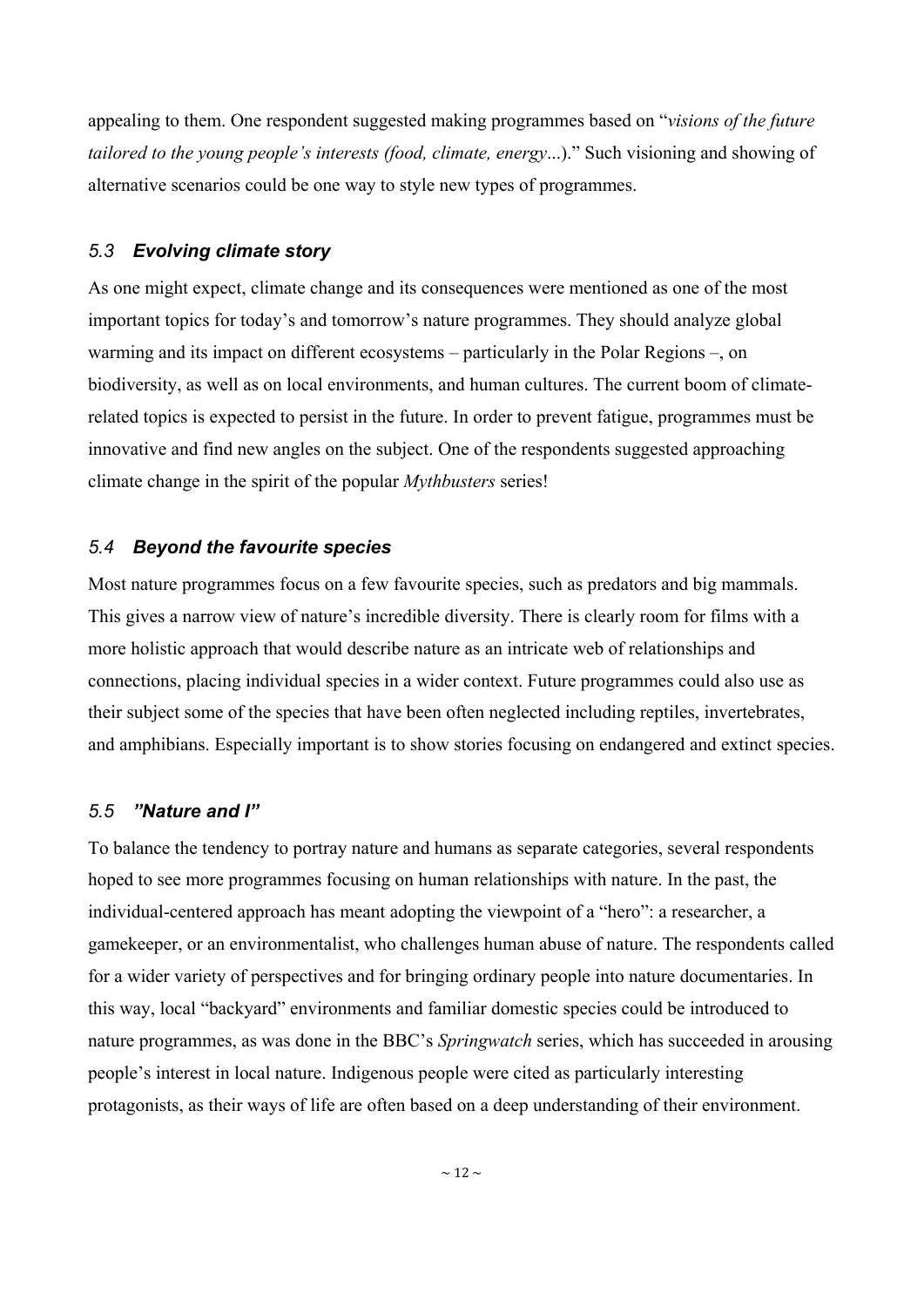appealing to them. One respondent suggested making programmes based on "*visions of the future tailored to the young people's interests (food, climate, energy*...)." Such visioning and showing of alternative scenarios could be one way to style new types of programmes.

## *5.3 Evolving climate story*

As one might expect, climate change and its consequences were mentioned as one of the most important topics for today's and tomorrow's nature programmes. They should analyze global warming and its impact on different ecosystems – particularly in the Polar Regions –, on biodiversity, as well as on local environments, and human cultures. The current boom of climaterelated topics is expected to persist in the future. In order to prevent fatigue, programmes must be innovative and find new angles on the subject. One of the respondents suggested approaching climate change in the spirit of the popular *Mythbusters* series!

## *5.4 Beyond the favourite species*

Most nature programmes focus on a few favourite species, such as predators and big mammals. This gives a narrow view of nature's incredible diversity. There is clearly room for films with a more holistic approach that would describe nature as an intricate web of relationships and connections, placing individual species in a wider context. Future programmes could also use as their subject some of the species that have been often neglected including reptiles, invertebrates, and amphibians. Especially important is to show stories focusing on endangered and extinct species.

## *5.5 "Nature and I"*

To balance the tendency to portray nature and humans as separate categories, several respondents hoped to see more programmes focusing on human relationships with nature. In the past, the individual-centered approach has meant adopting the viewpoint of a "hero": a researcher, a gamekeeper, or an environmentalist, who challenges human abuse of nature. The respondents called for a wider variety of perspectives and for bringing ordinary people into nature documentaries. In this way, local "backyard" environments and familiar domestic species could be introduced to nature programmes, as was done in the BBC's *Springwatch* series, which has succeeded in arousing people's interest in local nature. Indigenous people were cited as particularly interesting protagonists, as their ways of life are often based on a deep understanding of their environment.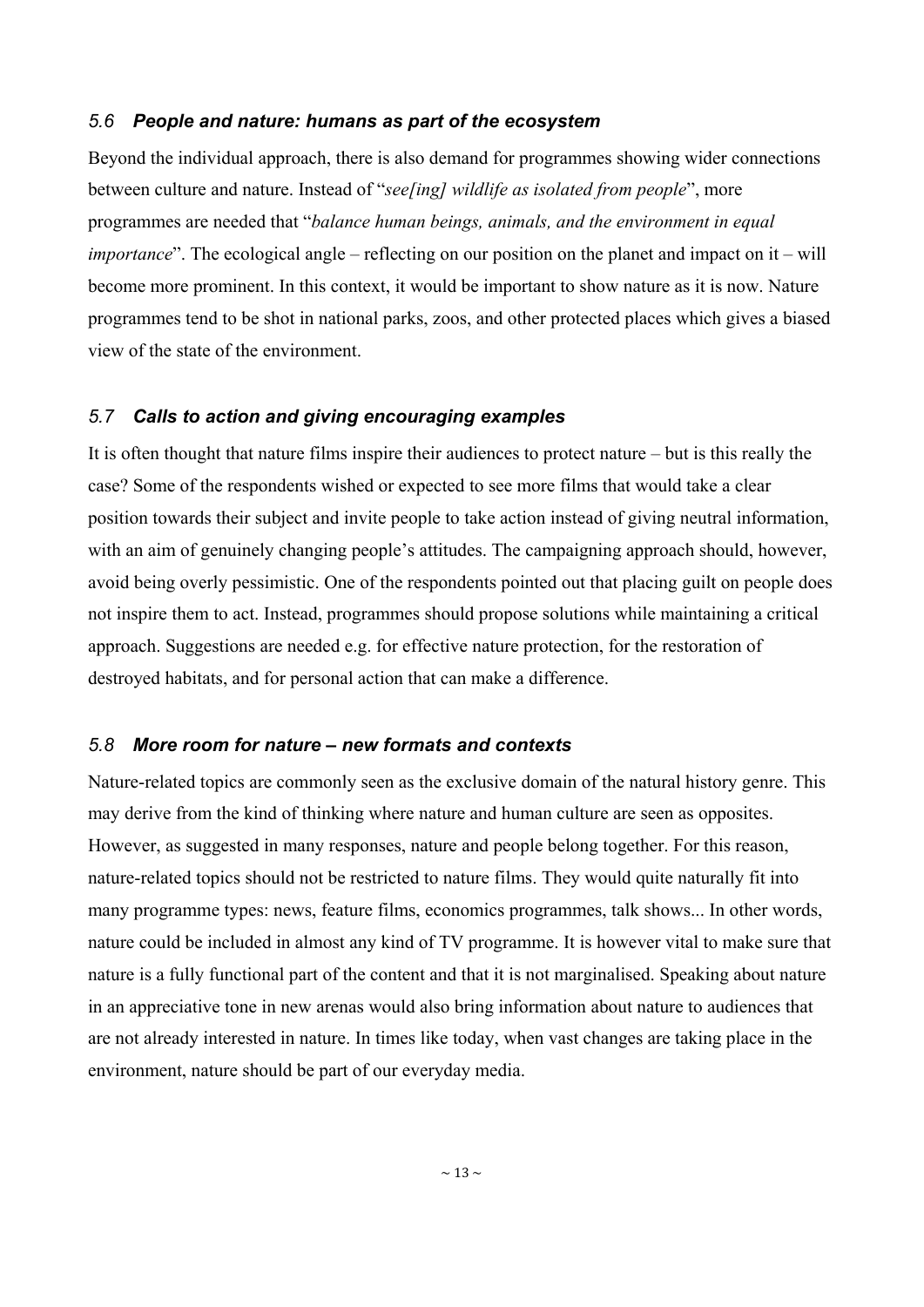#### *5.6 People and nature: humans as part of the ecosystem*

Beyond the individual approach, there is also demand for programmes showing wider connections between culture and nature. Instead of "*see[ing] wildlife as isolated from people*", more programmes are needed that "*balance human beings, animals, and the environment in equal importance*". The ecological angle – reflecting on our position on the planet and impact on it – will become more prominent. In this context, it would be important to show nature as it is now. Nature programmes tend to be shot in national parks, zoos, and other protected places which gives a biased view of the state of the environment.

## *5.7 Calls to action and giving encouraging examples*

It is often thought that nature films inspire their audiences to protect nature – but is this really the case? Some of the respondents wished or expected to see more films that would take a clear position towards their subject and invite people to take action instead of giving neutral information, with an aim of genuinely changing people's attitudes. The campaigning approach should, however, avoid being overly pessimistic. One of the respondents pointed out that placing guilt on people does not inspire them to act. Instead, programmes should propose solutions while maintaining a critical approach. Suggestions are needed e.g. for effective nature protection, for the restoration of destroyed habitats, and for personal action that can make a difference.

### *5.8 More room for nature – new formats and contexts*

Nature-related topics are commonly seen as the exclusive domain of the natural history genre. This may derive from the kind of thinking where nature and human culture are seen as opposites. However, as suggested in many responses, nature and people belong together. For this reason, nature-related topics should not be restricted to nature films. They would quite naturally fit into many programme types: news, feature films, economics programmes, talk shows... In other words, nature could be included in almost any kind of TV programme. It is however vital to make sure that nature is a fully functional part of the content and that it is not marginalised. Speaking about nature in an appreciative tone in new arenas would also bring information about nature to audiences that are not already interested in nature. In times like today, when vast changes are taking place in the environment, nature should be part of our everyday media.